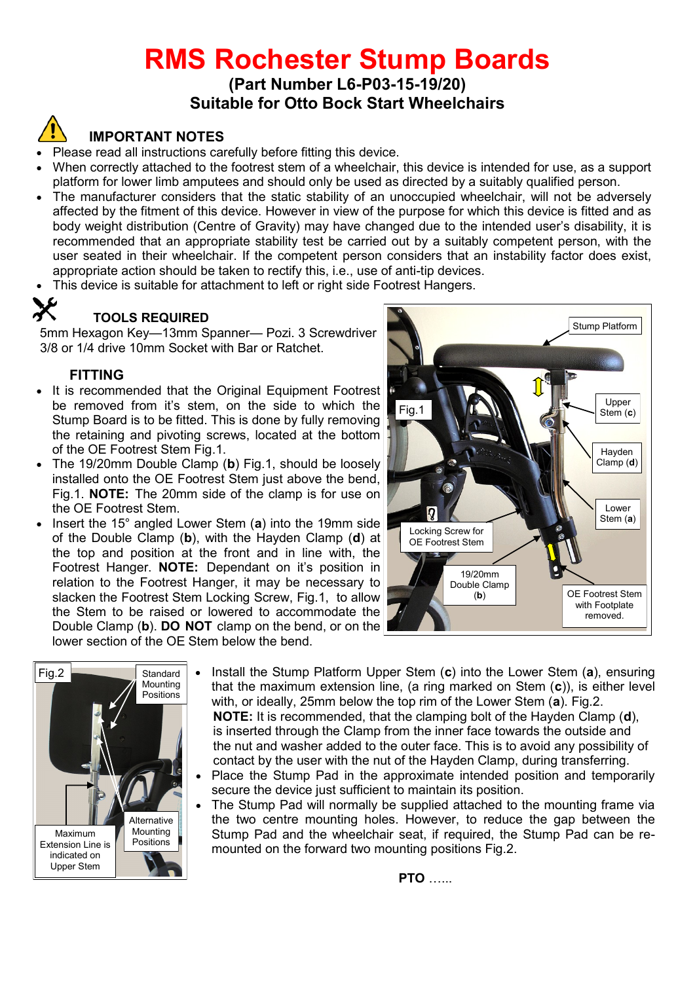# **RMS Rochester Stump Boards**

**(Part Number L6-P03-15-19/20) Suitable for Otto Bock Start Wheelchairs**

## **IMPORTANT NOTES**

- Please read all instructions carefully before fitting this device.
- When correctly attached to the footrest stem of a wheelchair, this device is intended for use, as a support platform for lower limb amputees and should only be used as directed by a suitably qualified person.
- The manufacturer considers that the static stability of an unoccupied wheelchair, will not be adversely affected by the fitment of this device. However in view of the purpose for which this device is fitted and as body weight distribution (Centre of Gravity) may have changed due to the intended user's disability, it is recommended that an appropriate stability test be carried out by a suitably competent person, with the user seated in their wheelchair. If the competent person considers that an instability factor does exist, appropriate action should be taken to rectify this, i.e., use of anti-tip devices.
- This device is suitable for attachment to left or right side Footrest Hangers.

### **TOOLS REQUIRED**

5mm Hexagon Key—13mm Spanner— Pozi. 3 Screwdriver 3/8 or 1/4 drive 10mm Socket with Bar or Ratchet.

#### **FITTING**

- It is recommended that the Original Equipment Footrest be removed from it's stem, on the side to which the Stump Board is to be fitted. This is done by fully removing the retaining and pivoting screws, located at the bottom of the OE Footrest Stem Fig.1.
- The 19/20mm Double Clamp (**b**) Fig.1, should be loosely installed onto the OE Footrest Stem just above the bend, Fig.1. **NOTE:** The 20mm side of the clamp is for use on the OE Footrest Stem.
- Insert the 15° angled Lower Stem (**a**) into the 19mm side of the Double Clamp (**b**), with the Hayden Clamp (**d**) at the top and position at the front and in line with, the Footrest Hanger. **NOTE:** Dependant on it's position in relation to the Footrest Hanger, it may be necessary to slacken the Footrest Stem Locking Screw, Fig.1, to allow the Stem to be raised or lowered to accommodate the Double Clamp (**b**). **DO NOT** clamp on the bend, or on the lower section of the OE Stem below the bend.





- Install the Stump Platform Upper Stem (**c**) into the Lower Stem (**a**), ensuring that the maximum extension line, (a ring marked on Stem (**c**)), is either level with, or ideally, 25mm below the top rim of the Lower Stem (**a**). Fig.2. **NOTE:** It is recommended, that the clamping bolt of the Hayden Clamp (**d**), is inserted through the Clamp from the inner face towards the outside and the nut and washer added to the outer face. This is to avoid any possibility of contact by the user with the nut of the Hayden Clamp, during transferring.
- Place the Stump Pad in the approximate intended position and temporarily secure the device just sufficient to maintain its position.
- The Stump Pad will normally be supplied attached to the mounting frame via the two centre mounting holes. However, to reduce the gap between the Stump Pad and the wheelchair seat, if required, the Stump Pad can be remounted on the forward two mounting positions Fig.2.

**PTO** …...